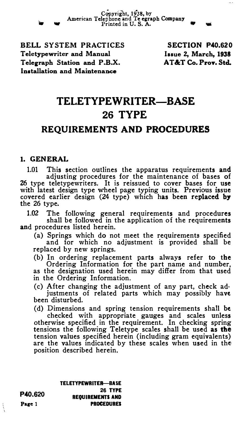Copyright, 1938, by<br>American Telephone and Te egraph Company<br>Printed in U.S.A.

BELL SYSTEM PRACTICES Teletypewriter and Manual Telegraph Station and P.B.X. Installation and Maintenance

SECTION P40.620 lasue 2, March, 1938 AT&T Co. Prov. Std.

# TELETYPEWRITER-BASE 26 TYPE

# REQUIREMENTS AND PROCEDURES

## 1. GENERAL

1.01 This section outlines the apparatus requirements and adjusting procedures for the maintenance of bases of Z6 type teletypewriters. It is reissued to cover bases for use with latest design type wheel page typing units. Previous issue<br>covered earlier design (24 type) which has been replaced by the 26 type.

1.02 The following general requirements and procedures shall be followed in the application of the requirements and procedures listed herein.

(a) Springs which do not meet the requirements specified and for which no adjustment is provided shall be replaced by new springs.

(b) In ordering replacement parts always refer to the Ordering Information for the part name and number, as the designation used herein may differ from that used in the Ordering Information.

(c) After changing the adjustment of any part, check ad· justments of related parts which may possibly have been disturbed.

(d) Dimensions and spring tension requirements shall be checked with appropriate gauges and scales unless otherwise specified in the requirement. In checking spring tensions the following Teletype scales shall be used as the tension values specified herein (including gram equivalents) are the values indicated by these scales when used in the position described herein.

> TELETYPEWRITER-BASE 26 TYPE REQUIREMENTS AND PROCEDURES

P40.620 Page 1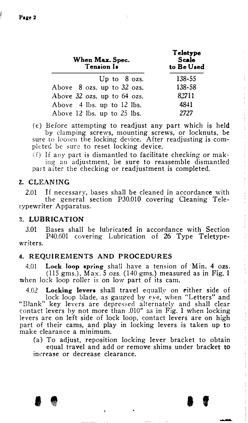| When Max. Spec.<br>Tension Is   | Teletype<br><b>Scale</b><br>to Be Used |
|---------------------------------|----------------------------------------|
| Up to $8$ ozs.                  | 138-55                                 |
| Above $8$ ozs. up to $32$ ozs.  | 138-58                                 |
| Above $32$ ozs. up to $64$ ozs. | 82711                                  |
| Above 4 lbs. up to 12 lbs.      | 4841                                   |
| Above 12 lbs. up to 25 lbs.     | 2727                                   |

(e) Before attempting to readjust any part which is held by clamping screws, mounting screws, or locknuts, be sure to loosen the locking device. After readjusting is completed be sure to reset locking device.

 $(1)$  If any part is dismantled to facilitate checking or making an adjustment, be sure to reassemble dismantled part after the checking or readjustment is completed.

#### z. CLEANING

2.01 If necessary, bases shall be cleaned in accordance with the general section P30.010 covering Oeaning Teletypewriter Apparatus.

### 3. LUBRICATION

3.01 Bases shall be lubricated in accordance with Section P40.601 covering Lubrication of 26 Type Teletypewriters.

#### 4. REQUIREMENTS AND PROCEDURES

 $4.01$  Lock loop spring shall have a tension of Min. 4 ozs. (115 gms.), Max. 5 ozs. (140 gms.) measured as in Fig. 1 when lock loop roller is on low part of its cam.

4.02 Locking levers shall travel equally on either side of lock loop blade, as gauged by eye, when "Letters" and "Blank" key levers are depressed alternately and shall clear contact levers by not more than .010" as in Fig. 1 when locking levers are on left side of lock loop, contact levers are on high part of their cams, and play in locking levers is taken up to make clearance a minimum.

(a) To adjust, reposition locking lever bracket to obtain equal travel and add or remove shims under bracket to increase or decrease clearance.

 $\bullet$   $\bullet$   $\bullet$   $\bullet$   $\bullet$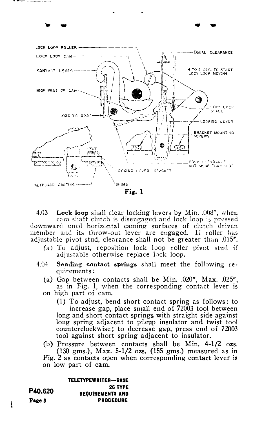

.. -- .. ..

4.03 Lock loop shall clear locking levers by Min. .008", when cam shaft clutch is disengaged and lock loop is pressed downward until horizontal caming surfaces of clutch driven member and its throw-out lever are engaged. If roller has adjustable pivot stud, clearance shall not be greater than .015".

- (a) To adjust, reposition lock loop roller pivot stud if adjustable otherwise replace lock loop.
- 4.04 Sending contact springs shall meet the following requirements:
	- (a) Gap between contacts shall be Min.  $.020$ ", Max.  $.025$ ", as in Fig. 1, when the corresponding contact lever is on high part of cam.

(1) To adjust, bend short contact spring as follows: to increase gap, place small end of 72003 tool between long and short contact springs with straight side against long spring adjacent to pileup insulator and twist tool counterclockwise; to decrease gap, press end of 72003 tool against short spring adjacent to insulator.

(b) Pressure between contacts shall be Min. 4-1/2 ozs. (130 gms.), Max. 5-1/2 ozs. (155 gms.) measured as in Fig. 2 as contacts open when corresponding contact lever is on low part of cam.

TELETYPEWRITER-BASE 26 TYPE REQUIREMENTS AND PROCEDURE

P40.620 Pare 3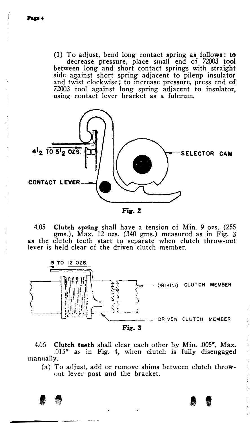(1) To adjust, bend long contact spring as follows: to decrease pressure, place small end of 72003 tool between long and short contact springs with straight side against short spring adjacent to pileup insulator and twist clockwise; to increase pressure, press end of 72003 tool against long spring adjacent to insulator, using contact lever bracket as a fulcrum.



Fig. 2

4.05 Clutch spring shall have a tension of Min. 9 ozs. (255 gms.), Max. 12 ozs. (340 gms.) measured as in Fig. 3 as the clutch teeth start to separate when clutch throw-out lever is held clear of the driven clutch member.



4.06 Clutch teeth shall clear each other by Min. .005", Max. .015" as in Fig. 4, when clutch is fully disengaged manually.

I l' I t

(a) To adjust, add or remove shims between clutch throwout lever post and the bracket.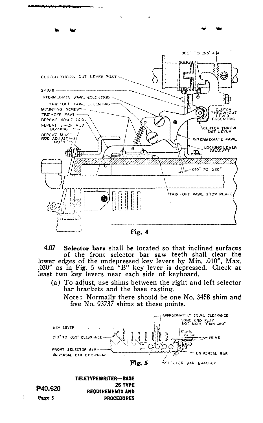

-

Fig. 4

4.07 Selector bars shall be located so that inclined surfaces of the front selector bar saw teeth shall clear the lower edges of the undepressed key levers by Min. .010", Max. . 030" as in Fig. 5 when "B" key lever is depressed. Check at least two key levers near each side of keyboard.

(a) To adjust, use shims between the right and left selector bar brackets and the base casting.

Note: Normally there should be one No. 3458 shim and five No. 93737 shims at these points.



PROCEDURES

Page 5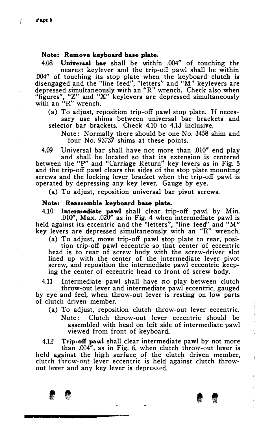$\bigg\}$ 

#### Note: Remove keyboard base plate.

4.08 Universal bar shall be within .004" of touching the nearest keylever and the trip-off pawl shall be within .004" of touching its stop plate when the keyboard clutch is disengaged and the "line feed", "letters" and "M" keylevers are depressed simultaneously with an "R" wrench. Check also when "figures", "Z" and "X" keylevers are depressed simultaneously with an "R" wrench.

(a) To adjust, reposition trip-off pawl stop plate. If necessary use shims between universal bar brackets and selector bar brackets. Check 4.10 to 4.13 inclusive.

Note: Normally there should be one No. 3458 shim and four No. 93737 shims at these points.

4.09 Universal bar shall have not more than .010" end play and shall be located so that its extension is centered between the "P" and "Carriage Return" key levers as in Fig. 5 and the trip-off pawl clears the sides of the stop plate mounting screws and the locking lever bracket when the trip-off pawl is operated by depressing any key lever. Gauge by eye.

(a) To adjust, reposition universal bar pivot screws.

#### Note: Reassemble keyboard base plate.

4.10 **Intermediate pawl** shall clear trip-off pawl by Min. . 010", Max. .020" as in Fig. 4 when intermediate pawl is held against its eccentric and the "letters", "line feed" and "M" key levers are depressed simultaneously with an "'R" wrench.

(a) To adjust, move trip-off pawl stop plate to rear, posi-

tion trip-off pawl eccentric so that center of eccentric head is to rear of screw body with the screw-driver slot lined up with the center of the intermediate lever pivot screw, and reposition the intermediate pawl eccentric keeping the center of eccentric head to front of screw body.

4.11 Intermediate pawl shall have no play between clutch throw-out lever and intermediate pawl eccentric, gauged by eye and feel, when throw-out lever is resting on low parts of clutch driven member.

- (a) To adjust, reposition clutch throw-out lever eccentric.
	- Note: Clutch throw-out lever eccentric should be assembled with head on left side of intermediate pawl viewed from front of keyboard.

4.12 Trip-off pawl shall clear intermediate pawl by not more than .004", as in Fig. 6, when clutch throw-out lever is held against the high surface of the clutch driven member, clutch throw-out lever eccentric is held against clutch throwout lever and any key lever is depressed.

I I I I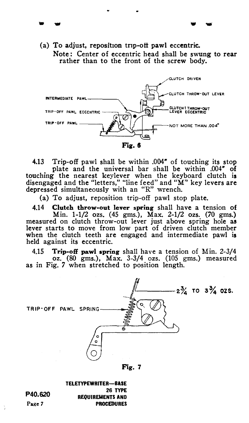(a) To adjust, reposition trip-off pawl eccentric. Note: Center of eccentric head shall be swung to rear rather than to the front of the screw body.

. ... . ...



4.13 Trip-off pawl shall be within .004" of touching its stop plate and the universal bar shall be within .004" of touching the nearest keylever when the keyboard clutch is disengaged and the "letters," "line feed" and "M" key levers are depressed simultaneously with an "R" wrench.

(a) To adjust, reposition trip-off pawl stop plate.

4.14 Clutch throw-out lever spring shall have a tension of Min. 1-1/2 ozs. (45 gms.), Max. 2-1/2 ozs. (70 gms.) measured on clutch throw-out lever just above spring hole as lever starts to move from low part of driven clutch member when the clutch teeth are engaged and intermediate pawl is held against its eccentric.

4.15 Trip-off pawl spring shall have a tension of Min. 2-3/4 oz. (80 gms.), Max. 3-3/4 ozs. (105 gms.) measured as in Fig. 7 when stretched to position length.



Fig. 7

TELETYPEWRITER-BASE 26 TYPE REQUIREMENTS AND PROCEDURES

P40.620 Page 7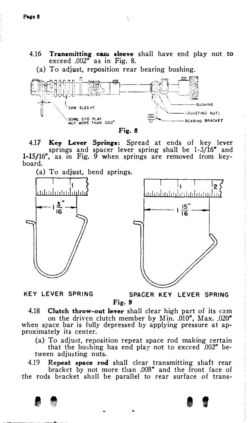4.16 Transmitting cam sleeve shall have end play not to exceed .002" as in Fig. 8.

(a) To adjust, reposition rear bearing bushing.





4.17 Key Lever Springs: Spread at ends of key lever springs and spacer lever spring shall be 1-3/16" and 1-15/16", as in Fig. 9 when springs are removed from keyboard.

(a) To adjust, bend springs.



KEY LEVER SPRING SPACER KEY LEVER SPRING Fig. 9

4.18 Clutch throw-out lever shall clear high part of its cam on the driven clutch member by Min. .010", Max. .020" when space bar is fully depressed by applying pressure at approximately its center.

(a) To adjust, reposition repeat space rod making certain that the bushing has end play not to exceed .002" between adjusting nuts.

4.19 Repeat space rod shall clear transmitting shaft rear bracket by not more than .008" and the front face of the rods bracket shall be parallel to rear surface of trans-

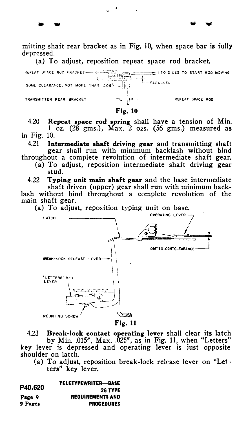mitting shaft rear bracket as in Fig. 10, when space bar is fully depressed.

... w ... w ... w ... w ... w ... w ... w ... w ... w ... w ... w ... w ... w ... w ... w ... w ... w ... w ..

(a) To adjust, reposition repeat space rod bracket.



Fig. 10

4.20 Repeat apace rod spring shall have a tension of Min. <sup>1</sup>oz. (28 gms.), Max. 2 ozs. (56 gms.) measured as in Fig. 10.<br>421 In

Intermediate shaft driving gear and transmitting shaft gear shall run with minimum backlash without bind throughout a complete revolution of intermediate shaft gear.

(a) To adjust, reposition intermediate shaft driving gear stud.

4.22 Typing unit main shaft gear and the base intermediate shaft driven (upper) gear shall run with minimum backlash without bind throughout a complete revolution of the main shaft gear.



4.23 Break-lock contact operating lever shall clear its latch by Min. .015", Max. .025", as in Fig. 11, when "Letters" key lever is depressed and operating lever is just opposite shoulder on latch.

(a) To adjust, reposition break-lock release lever on "Let  $\cdot$ ters" key lever.

| P40.620 | <b>TELETYPEWRITER—BASE</b> |
|---------|----------------------------|
|         | 26 TYPE                    |
| Page 9  | <b>REOUIREMENTS AND</b>    |
| 9 Pages | <b>PROCEDURES</b>          |